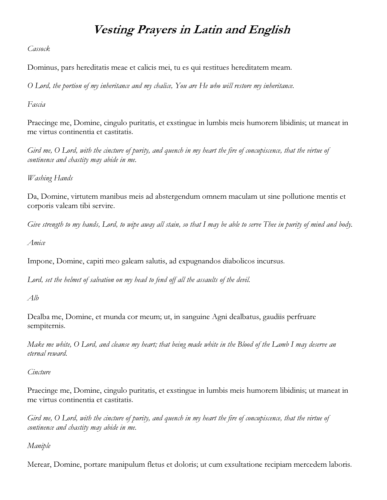## Vesting Prayers in Latin and English

Cassock

Dominus, pars hereditatis meae et calicis mei, tu es qui restitues hereditatem meam.

O Lord, the portion of my inheritance and my chalice, You are He who will restore my inheritance.

Fascia

Praecinge me, Domine, cingulo puritatis, et exstingue in lumbis meis humorem libidinis; ut maneat in me virtus continentia et castitatis.

Gird me, O Lord, with the cincture of purity, and quench in my heart the fire of concupiscence, that the virtue of continence and chastity may abide in me.

Washing Hands

Da, Domine, virtutem manibus meis ad abstergendum omnem maculam ut sine pollutione mentis et corporis valeam tibi servire.

Give strength to my hands, Lord, to wipe away all stain, so that I may be able to serve Thee in purity of mind and body.

Amice

Impone, Domine, capiti meo galeam salutis, ad expugnandos diabolicos incursus.

Lord, set the helmet of salvation on my head to fend off all the assaults of the devil.

Alb

Dealba me, Domine, et munda cor meum; ut, in sanguine Agni dealbatus, gaudiis perfruare sempiternis.

Make me white, O Lord, and cleanse my heart; that being made white in the Blood of the Lamb I may deserve an eternal reward.

**Cincture** 

Praecinge me, Domine, cingulo puritatis, et exstingue in lumbis meis humorem libidinis; ut maneat in me virtus continentia et castitatis.

Gird me, O Lord, with the cincture of purity, and quench in my heart the fire of concupiscence, that the virtue of continence and chastity may abide in me.

## Maniple

Merear, Domine, portare manipulum fletus et doloris; ut cum exsultatione recipiam mercedem laboris.